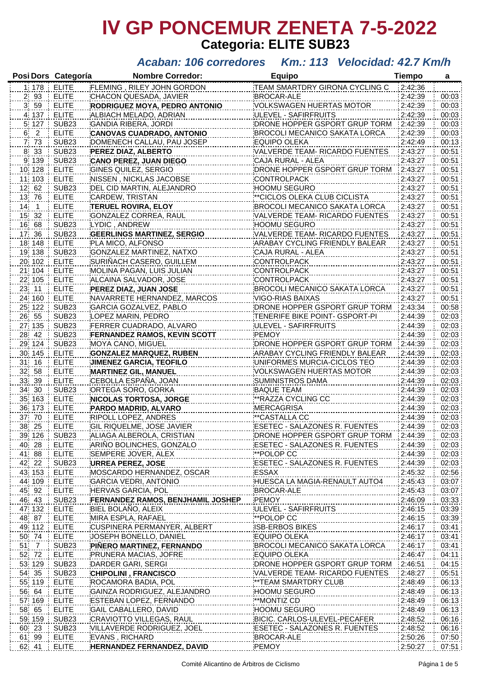# **IV GP PONCEMUR ZENETA 7-5-2022 Categoria: ELITE SUB23**

### *Acaban: 106 corredores Km.: 113 Velocidad: 42.7 Km/h*

|                 | Posi Dors Categoría     | <b>Nombre Corredor:</b>                                                                  | <b>Equipo</b>                                                                                                   | <b>Tiempo</b>      | a     |
|-----------------|-------------------------|------------------------------------------------------------------------------------------|-----------------------------------------------------------------------------------------------------------------|--------------------|-------|
| 1 178           | <b>ELITE</b>            | FLEMING, RILEY JOHN GORDON                                                               | TEAM SMARTDRY GIRONA CYCLING C                                                                                  | 2:42:36            |       |
| 2 93            | <b>ELITE</b>            | CHACON QUESADA, JAVIER                                                                   | <b>BROCAR-ALE</b>                                                                                               | 2:42:39            | 00:03 |
| 3 59            | <b>ELITE</b>            | RODRIGUEZ MOYA, PEDRO ANTONIO                                                            | VOLKSWAGEN HUERTAS MOTOR                                                                                        | 2:42:39            | 00:03 |
| 4 137           | <b>ELITE</b>            | ALBIACH MELADO, ADRIAN                                                                   | ULEVEL - SAFIRFRUITS                                                                                            | 2:42:39            | 00:03 |
| 5.127           | SUB <sub>23</sub>       | <b>GANDIA RIBERA, JORDI</b>                                                              | DRONE HOPPER GSPORT GRUP TORM                                                                                   | 2:42:39            | 00:03 |
| 6 <sup>2</sup>  | <b>ELITE</b>            | <b>CANOVAS CUADRADO, ANTONIO</b>                                                         | BROCOLI MECANICO SAKATA LORCA                                                                                   | 2:42:39            | 00:03 |
| 7 <sub>73</sub> | <b>SUB23</b>            | DOMENECH CALLAU, PAU JOSEP                                                               | <b>EQUIPO OLEKA</b>                                                                                             | 2:42:49            | 00:13 |
| 8 33            | <b>SUB23</b>            | PEREZ DIAZ, ALBERTO                                                                      | VALVERDE TEAM- RICARDO FUENTES                                                                                  | 2:43:27            | 00:51 |
| 9 139           | <b>SUB23</b>            | <b>CANO PEREZ, JUAN DIEGO</b>                                                            | CAJA RURAL - ALEA                                                                                               | 2:43:27            | 00:51 |
|                 | <b>ELITE</b>            |                                                                                          |                                                                                                                 |                    |       |
| 10 128          |                         | <b>GINES QUILEZ, SERGIO</b>                                                              | DRONE HOPPER GSPORT GRUP TORM                                                                                   | 2:43:27            | 00:51 |
| 11 103          | <b>ELITE</b>            | NISSEN, NICKLAS JACOBSE                                                                  | <b>CONTROLPACK</b>                                                                                              | 2:43:27            | 00:51 |
| 12 62           | SUB <sub>23</sub>       | DEL CID MARTIN, ALEJANDRO                                                                | <b>HOOMU SEGURO</b>                                                                                             | 2:43:27            | 00:51 |
| 13 76           | <b>ELITE</b>            | CARDEW, TRISTAN                                                                          | **CICLOS OLEKA CLUB CICLISTA                                                                                    | 2:43:27            | 00:51 |
| $14$ 1          | <b>ELITE</b>            | <b>TERUEL ROVIRA, ELOY</b>                                                               | BROCOLI MECANICO SAKATA LORCA                                                                                   | 2:43:27            | 00:51 |
| 15 32           | <b>ELITE</b>            | GONZALEZ CORREA, RAUL                                                                    | VALVERDE TEAM- RICARDO FUENTES                                                                                  | 2:43:27            | 00:51 |
| 16 68           | SUB <sub>23</sub>       | LYDIC, ANDREW                                                                            | <b>HOOMU SEGURO</b>                                                                                             | 2:43:27            | 00:51 |
| 17 36           | <b>SUB23</b>            | <b>GEERLINGS MARTINEZ, SERGIO</b>                                                        | VALVERDE TEAM- RICARDO FUENTES                                                                                  | 2:43:27            | 00:51 |
| 18 148          | <b>ELITE</b>            | PLA MICO, ALFONSO                                                                        | ARABAY CYCLING FRIENDLY BALEAR                                                                                  | 2:43:27            | 00:51 |
| 19 138          | SUB <sub>23</sub>       | GONZALEZ MARTINEZ, NATXO                                                                 | CAJA RURAL - ALEA                                                                                               | 2:43:27            | 00:51 |
| 20 102          | <b>ELITE</b>            | SURIÑACH CASERO, GUILLEM                                                                 | CONTROLPACK                                                                                                     | 2:43:27            | 00:51 |
| 21 104          | <b>ELITE</b>            | MOLINA PAGAN, LUIS JULIAN                                                                | CONTROLPACK                                                                                                     | 2:43:27            | 00:51 |
| 22 105          | <b>ELITE</b>            | ALCAINA SALVADOR, JOSE                                                                   | CONTROLPACK                                                                                                     | 2:43:27            | 00:51 |
| 23 11           | <b>ELITE</b>            | PEREZ DIAZ, JUAN JOSE                                                                    | BROCOLI MECANICO SAKATA LORCA                                                                                   | 2:43:27            | 00:51 |
| 24 160          | <b>ELITE</b>            | NAVARRETE HERNANDEZ, MARCOS                                                              | <b>VIGO-RIAS BAIXAS</b>                                                                                         | 2:43:27            | 00:51 |
| 25 122          | SUB <sub>23</sub>       | GARCIA GOZALVEZ, PABLO                                                                   | DRONE HOPPER GSPORT GRUP TORM                                                                                   | 2:43:34            | 00:58 |
| 26 55           | <b>SUB23</b>            | LOPEZ MARIN, PEDRO                                                                       | TENERIFE BIKE POINT- GSPORT-PI                                                                                  | 2:44:39            | 02:03 |
| 27 135          | SUB <sub>23</sub>       | FERRER CUADRADO, ALVARO                                                                  | ULEVEL - SAFIRFRUITS                                                                                            | 2:44:39            | 02:03 |
| 28 42           | <b>SUB23</b>            | <b>FERNANDEZ RAMOS, KEVIN SCOTT</b>                                                      | PEMOY                                                                                                           | 2:44:39            | 02:03 |
| 29 124          | <b>SUB23</b>            | MOYA CANO, MIGUEL                                                                        | DRONE HOPPER GSPORT GRUP TORM                                                                                   | 2:44:39            | 02:03 |
| 30 145          | <b>ELITE</b>            | <b>GONZALEZ MARQUEZ, RUBEN</b>                                                           | ARABAY CYCLING FRIENDLY BALEAR                                                                                  | 2:44:39            | 02:03 |
| 31 16           | <b>ELITE</b>            | <b>JIMENEZ GARCIA, TEOFILO</b>                                                           | UNIFORMES MURCIA-CICLOS TEO                                                                                     | 2:44:39            | 02:03 |
| 32 58           | <b>ELITE</b>            | <b>MARTINEZ GIL, MANUEL</b>                                                              | VOLKSWAGEN HUERTAS MOTOR                                                                                        | 2:44:39            | 02:03 |
| 33 39           | <b>ELITE</b>            | CEBOLLA ESPAÑA, JOAN                                                                     | <b>SUMINISTROS DAMA</b>                                                                                         | 2:44:39            | 02:03 |
| 34 30           | SUB <sub>23</sub>       | ORTEGA SORO, GORKA                                                                       | <b>BAQUE TEAM</b>                                                                                               | 2:44:39            | 02:03 |
| 35 163          | <b>ELITE</b>            | <b>NICOLAS TORTOSA, JORGE</b>                                                            | **RAZZA CYCLING CC                                                                                              | 2:44:39            | 02:03 |
| 36 173          | <b>ELITE</b>            | PARDO MADRID, ALVARO                                                                     | <b>MERCAGRISA</b>                                                                                               | 2:44:39            | 02:03 |
| 37 70           | <b>ELITE</b>            | RIPOLL LOPEZ, ANDRES                                                                     | **CASTALLA CC                                                                                                   | 2:44:39            | 02:03 |
| 38 25           | <b>ELITE</b>            | <b>GIL RIQUELME, JOSE JAVIER</b>                                                         | ESETEC - SALAZONES R. FUENTES                                                                                   | 2:44:39            | 02:03 |
| 39 126 SUB23    |                         | ALIAGA ALBEROLA, CRISTIAN                                                                | DRONE HOPPER GSPORT GRUP TORM 2:44:39                                                                           |                    | 02:03 |
| 40 28           | <b>ELITE</b>            |                                                                                          |                                                                                                                 | 2:44:39            | 02:03 |
| 41 88           | <b>ELITE</b>            | ARIÑO BOLINCHES, GONZALO ESETEC - SALAZONES R. FUENTES<br>SEMPERE JOVER, ALEX            | **POLOP CC                                                                                                      | 2:44:39            | 02:03 |
|                 |                         |                                                                                          | --------------------------------                                                                                |                    |       |
| 42 22           | SUB <sub>23</sub>       |                                                                                          |                                                                                                                 | 2:44:39<br>2:45:32 | 02:03 |
| 43 153          | <b>ELITE</b>            |                                                                                          | ------------------------                                                                                        |                    | 02:56 |
| 44 109          | ELITE                   | GARCIA VEDRI, ANTONIO <b>Marcia (1990), ILLESCA LA MAGIA-RENAULT AUTO4</b> 2:45:43       |                                                                                                                 |                    | 03:07 |
| 45 92           | <b>ELITE</b>            | HERVAS GARCIA, POL                                                                       | <b>BROCAR-ALE</b>                                                                                               | 2:45:43            | 03:07 |
| 46 43           | SUB <sub>23</sub>       | FERNANDEZ RAMOS, BENJHAMIL JOSHEP PEMOY                                                  | 2:46:09<br> 2:46:09   2:46:09   2:46:09<br> 1:46:15   2:46:15   2:46:15   2:46:15   2:46:15   2:46:15   2:46:15 |                    | 03:33 |
| 47 132          | <b>ELITE</b>            | BIEL BOLAÑO, ALEIX                                                                       |                                                                                                                 |                    | 03:39 |
| 48 87           | <b>ELITE</b>            | MIRA ESPLA, RAFAEL                                                                       | <b>MANUSCRIPER MANUSCRIP</b>                                                                                    |                    | 03:39 |
| 49 112          | <b>ELITE</b>            |                                                                                          |                                                                                                                 |                    | 03:41 |
| 50 74           | <b>ELITE</b>            |                                                                                          |                                                                                                                 | 2:46:17            | 03:41 |
| $51 - 7$        | SUB <sub>23</sub>       | <u> PIÑERO MARTINEZ, FERNANDO</u> ________________                                       | BROCOLI MECANICO SAKATA LORCA 2:46:17                                                                           |                    | 03:41 |
| 52 72           | <b>ELITE</b>            | PRUNERA MACIAS, JOFRE                                                                    | <b>EQUIPO OLEKA</b>                                                                                             | 2:46:47            | 04:11 |
| 53 129          | SUB <sub>23</sub>       | DARDER GARI, SERGI                                                                       | DRONE HOPPER GSPORT GRUP TORM 2:46:51                                                                           |                    | 04:15 |
| 54 35           | SUB <sub>23</sub>       | CHIPOLINI , FRANCISCO                                                                    | VALVERDE TEAM- RICARDO FUENTES 2:48:27                                                                          |                    | 05:51 |
| 55 119          | <b>ELITE</b>            |                                                                                          | <b>AND THE STAR SMARTDRY CLUB</b>                                                                               | 2:48:49            | 06:13 |
| 56 64           | <b>ELITE</b>            | GAINZA RODRIGUEZ, ALEJANDRO ____________HOOMU SEGURO ____________________________2:48:49 |                                                                                                                 |                    | 06:13 |
| 57 169          | <b>ELITE</b>            |                                                                                          |                                                                                                                 |                    | 06:13 |
| 58 65           | <b>ELITE</b><br>$- - -$ | GAIL CABALLERO, DAVID ______________________HOOMU SEGURO ______________                  |                                                                                                                 | 2:48:49            | 06:13 |
| 59 159          | SUB <sub>23</sub>       | CRAVIOTTO VILLEGAS, RAUL ________________BICIC. CARLOS-ULEVEL-PECAFER ___                | .                                                                                                               | 2:48:52            | 06:16 |
| 60 23           | SUB <sub>23</sub>       | VILLAVERDE RODRIGUEZ, JOEL ______________ESETEC - SALAZONES R. FUENTES ______ 2:48:52    |                                                                                                                 |                    | 06:16 |
| 61 99           | ELITE                   | EVANS, RICHARD                                                                           |                                                                                                                 | 2:50:26            | 07:50 |
| 62 41           | <b>ELITE</b>            | HERNANDEZ FERNANDEZ, DAVID                                                               | PEMOY                                                                                                           | 2:50:27            | 07:51 |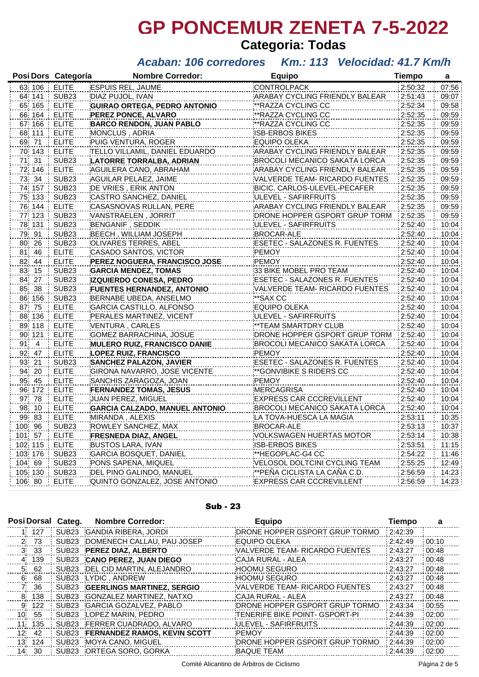# **GP PONCEMUR ZENETA 7-5-2022 Categoria: Todas**

### *Acaban: 106 corredores Km.: 113 Velocidad: 41.7 Km/h*

| Posi Dors Categoría |                   | <b>Nombre Corredor:</b>                | <b>Equipo</b>                             | <b>Tiempo</b> | a     |
|---------------------|-------------------|----------------------------------------|-------------------------------------------|---------------|-------|
| 63 106              | <b>ELITE</b>      | <b>ESPUIS REL, JAUME</b>               | <b>CONTROLPACK</b>                        | 2:50:32       | 07:56 |
| 64 141 SUB23        |                   | DIAZ PUJOL, IVAN                       | ARABAY CYCLING FRIENDLY BALEAR            | 2:51:43       | 09:07 |
| 65 165              | <b>ELITE</b>      | <b>GUIRAO ORTEGA, PEDRO ANTONIO</b>    | **RAZZA CYCLING CC                        | 2:52:34       | 09:58 |
| 66 164              | <b>ELITE</b>      | PEREZ PONCE, ALVARO                    | ** RAZZA CYCLING CC                       | 2:52:35       | 09:59 |
| 67 166 ELITE        |                   | BARCO RENDON, JUAN PABLO               | **RAZZA <u>CYCLING CC _</u> _____________ | 2:52:35       | 09:59 |
| 68 111              | <b>ELITE</b>      | <b>MONCLUS, ADRIA</b>                  | <b>ISB-ERBOS BIKES</b>                    | 2:52:35       | 09:59 |
| 69 71               | <b>ELITE</b>      | PUIG VENTURA, ROGER                    | EQUIPO OLEKA                              | 2:52:35       | 09:59 |
| 70 143              | <b>ELITE</b>      | TELLO VILLAMIL, DANIEL EDUARDO         | ARABAY CYCLING FRIENDLY BALEAR            | 2:52:35       | 09:59 |
| 71 31               | SUB <sub>23</sub> | LATORRE TORRALBA, ADRIAN               | BROCOLI MECANICO SAKATA LORCA             | 2:52:35       | 09:59 |
| 72 146              | <b>ELITE</b>      | AGUILERA CANO, ABRAHAM                 | ARABAY CYCLING FRIENDLY BALEAR            | 2:52:35       | 09:59 |
| 73 34               | <b>SUB23</b>      | AGUILAR PELAEZ, JAIME                  | VALVERDE TEAM- RICARDO FUENTES            | 2:52:35       | 09:59 |
| 74 157              | <b>SUB23</b>      | DE VRIES, ERIK ANTON                   | BICIC. CARLOS-ULEVEL-PECAFER              | 2:52:35       | 09:59 |
| 75 133              | <b>SUB23</b>      | CASTRO SANCHEZ, DANIEL                 | ULEVEL - SAFIRFRUITS                      | 2:52:35       | 09:59 |
| 76 144              | <b>ELITE</b>      | CASASNOVAS RULLAN, PERE                | ARABAY CYCLING FRIENDLY BALEAR            | 2:52:35       | 09:59 |
| 77 123              | SUB <sub>23</sub> | VANSTRAELEN , JORRIT                   | DRONE HOPPER GSPORT GRUP TORM             | 2:52:35       | 09:59 |
| 78 131              | <b>SUB23</b>      | <b>BENGANIF, SEDDIK</b>                | ULEVEL - SAFIRFRUITS                      | 2:52:40       | 10:04 |
| 79 91               | SUB <sub>23</sub> | BEECH, WILLIAM JOSEPH                  | BROCAR-ALE                                | 2:52:40       | 10:04 |
| 80 26               | SUB <sub>23</sub> | OLIVARES TERRES, ABEL                  | ESETEC - SALAZONES R. FUENTES             | 2:52:40       | 10:04 |
| 81 46               | <b>ELITE</b>      | CASADO SANTOS, VICTOR                  | <b>PEMOY</b>                              | 2:52:40       | 10:04 |
| 82 44               | <b>ELITE</b>      | PEREZ NOGUERA, FRANCISCO JOSE          | <b>PEMOY</b>                              | 2:52:40       | 10:04 |
| 83 15               | SUB <sub>23</sub> | <b>GARCIA MENDEZ, TOMAS</b>            | 33 BIKE MOBEL PRO TEAM                    | 2:52:40       | 10:04 |
| 84 27               | <b>SUB23</b>      | <b>IZQUIERDO CONESA, PEDRO</b>         | ESETEC - SALAZONES R. FUENTES             | 2:52:40       | 10:04 |
| 85 38               | <b>SUB23</b>      | <b>FUENTES HERNANDEZ, ANTONIO</b>      | VALVERDE TEAM- RICARDO FUENTES            | 2:52:40       | 10:04 |
| 86 156              | <b>SUB23</b>      | BERNABE UBEDA, ANSELMO                 | **SAX CC                                  | 2:52:40       | 10:04 |
| 87 75               | <b>ELITE</b>      | GARCIA CASTILLO, ALFONSO               | EQUIPO OLEKA                              | 2:52:40       | 10:04 |
| 88 136              | <b>ELITE</b>      | PERALES MARTINEZ, VICENT               | ULEVEL - SAFIRFRUITS                      | 2:52:40       | 10:04 |
| 89 118              | <b>ELITE</b>      | VENTURA, CARLES                        | **TEAM SMARTDRY CLUB                      | 2:52:40       | 10:04 |
| 90 121              | <b>ELITE</b>      | GOMEZ BARRACHINA, JOSUE                | DRONE HOPPER GSPORT GRUP TORM             | 2:52:40       | 10:04 |
| 91 4                | <b>ELITE</b>      | MULERO RUIZ, FRANCISCO DANIE           | BROCOLI MECANICO SAKATA LORCA             | 2:52:40       | 10:04 |
| 92 47               | <b>ELITE</b>      | <b>LOPEZ RUIZ, FRANCISCO</b>           | <b>PEMOY</b>                              | 2:52:40       | 10:04 |
| 93 21               | SUB <sub>23</sub> | <b>SANCHEZ PALAZON, JAVIER</b>         | ESETEC - SALAZONES R. FUENTES             | 2:52:40       | 10:04 |
| 94 20               | <b>ELITE</b>      | GIRONA NAVARRO, JOSE VICENTE           | **GONVIBIKE S RIDERS CC                   | 2:52:40       | 10:04 |
| 95 45               | <b>ELITE</b>      | SANCHIS ZARAGOZA, JOAN                 | <b>PEMOY</b>                              | 2:52:40       | 10:04 |
| 96 172              | <b>ELITE</b>      | <b>FERNANDEZ TOMAS, JESUS</b>          | MERCAGRISA                                | 2:52:40       | 10:04 |
| 97 78               | <b>ELITE</b>      | JUAN PEREZ, MIGUEL                     | <b>EXPRESS CAR CCCREVILLENT</b>           | 2:52:40       | 10:04 |
| 98 10               | <b>ELITE</b>      | <b>GARCIA CALZADO, MANUEL ANTONIO</b>  | BROCOLI MECANICO SAKATA LORCA             | 2:52:40       | 10:04 |
| 99 83               | <b>ELITE</b>      | MIRANDA, ALEXIS                        | LA TOVA-HUESCA LA MAGIA                   | 2:53:11       | 10:35 |
| 100 96              | <b>SUB23</b>      | ROWLEY SANCHEZ, MAX                    | <b>BROCAR-ALE</b>                         | 2:53:13       | 10:37 |
| 101 57              | <b>ELITE</b>      | FRESNEDA DIAZ, ANGEL <b>Maria 1997</b> | VOLKSWAGEN HUERTAS MOTOR                  | 2:53:14       | 10:38 |
| 102 115             | <b>ELITE</b>      | BUSTOS LARA, IVAN                      | ISB-ERBOS BIKES                           | 2:53:51       | 11:15 |
| 103 176             | SUB <sub>23</sub> | GARCIA BOSQUET, DANIEL                 | **HEGOPLAC-G4 CC                          | 2:54:22       | 11:46 |
| 104 69              | SUB <sub>23</sub> | PONS SAPENA, MIQUEL                    | VELOSOL DOLTCINI CYCLING TEAM             | 2:55:25       | 12:49 |
| 105 130             | SUB <sub>23</sub> | DEL PINO GALINDO, MANUEL               | **PEÑA CICLISTA LA CAÑA C.D.              | 2:56:59       | 14:23 |
| 106 80              | <b>ELITE</b>      | QUINTO GONZALEZ, JOSE ANTONIO          | <b>EXPRESS CAR CCCREVILLENT</b>           | 2:56:59       | 14:23 |

#### Sub - 23

|                 |       | Posi Dorsal Categ. | <b>Nombre Corredor:</b>             | <b>Equipo</b>                         | <b>Tiempo</b> | a     |
|-----------------|-------|--------------------|-------------------------------------|---------------------------------------|---------------|-------|
|                 | 1 127 |                    | SUB23 GANDIA RIBERA, JORDI          | DRONE HOPPER GSPORT GRUP TORMO        | 2:42:39       |       |
|                 | 2 73  | SUB <sub>23</sub>  | DOMENECH CALLAU, PAU JOSEP          | <b>EQUIPO OLEKA</b>                   | 2:42:49       | 00:10 |
|                 | 3 33  | SUB23              | PEREZ DIAZ, ALBERTO                 | VALVERDE TEAM- RICARDO FUENTES        | 2:43:27       | 00:48 |
| 4               | 139   | SUB23              | <b>CANO PEREZ, JUAN DIEGO</b>       | CAJA RURAL - ALEA                     | 2:43:27       | 00:48 |
| 5.              | 62    | SUB <sub>23</sub>  | DEL CID MARTIN, ALEJANDRO           | <b>HOOMU SEGURO</b>                   | 2:43:27       | 00:48 |
| 6.              | 68    | SUB <sub>23</sub>  | LYDIC, ANDREW                       | <b>HOOMU SEGURO</b>                   | 2:43:27       | 00:48 |
| <b>7</b>        | 36    | SUB23              | <b>GEERLINGS MARTINEZ, SERGIO</b>   | VALVERDE TEAM- RICARDO FUENTES        | 2:43:27       | 00:48 |
| 8               | 138   | SUB <sub>23</sub>  | <b>GONZALEZ MARTINEZ, NATXO</b>     | CAJA RURAL - ALEA                     | 2:43:27       | 00:48 |
| 9.              | 122   | SUB <sub>23</sub>  | <b>GARCIA GOZALVEZ, PABLO</b>       | DRONE HOPPER GSPORT GRUP TORMO        | 2:43:34       | 00:55 |
| 10              | 55    | SUB <sub>23</sub>  | LOPEZ MARIN, PEDRO                  | <b>TENERIFE BIKE POINT- GSPORT-PI</b> | 2:44:39       | 02:00 |
| $11^{\circ}$    | 135   | SUB <sub>23</sub>  | FERRER CUADRADO, ALVARO             | ULEVEL - SAFIRFRUITS                  | 2:44:39       | 02:00 |
| 12 <sup>1</sup> | 42    | SUB23              | <b>FERNANDEZ RAMOS, KEVIN SCOTT</b> | <b>PEMOY</b>                          | 2:44:39       | 02:00 |
| 13.             | 124   | SUB <sub>23</sub>  | MOYA CANO, MIGUEL                   | DRONE HOPPER GSPORT GRUP TORMO        | 2:44:39       | 02:00 |
|                 | 14 30 | SUB23              | ORTEGA SORO, GORKA                  | <b>BAQUE TEAM</b>                     | 2:44:39       | 02:00 |

Comité Alicantino de Árbitros de Ciclismo en el producto de 5 página 2 de 5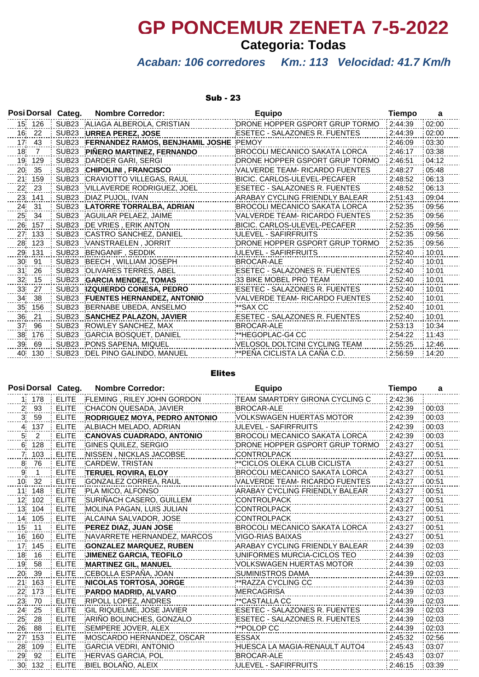# **GP PONCEMUR ZENETA 7-5-2022**

# **Categoria: Todas**

## *Acaban: 106 corredores Km.: 113 Velocidad: 41.7 Km/h*

#### Sub - 23

|                 |        | Posi Dorsal Categ. | <b>Nombre Corredor:</b>           | <b>Equipo</b>                         | Tiempo  | a     |
|-----------------|--------|--------------------|-----------------------------------|---------------------------------------|---------|-------|
|                 | 15 126 | SUB <sub>23</sub>  | ALIAGA ALBEROLA, CRISTIAN         | DRONE HOPPER GSPORT GRUP TORMO        | 2:44:39 | 02:00 |
|                 | 16 22  | SUB <sub>23</sub>  | <b>URREA PEREZ, JOSE</b>          | ESETEC - SALAZONES R. FUENTES         | 2:44:39 | 02:00 |
| 17 <sup>°</sup> | - 43   | SUB <sub>23</sub>  | FERNANDEZ RAMOS, BENJHAMIL JOSHE  | PEMOY                                 | 2:46:09 | 03:30 |
| 18              | 7      | SUB <sub>23</sub>  | PIÑERO MARTINEZ, FERNANDO         | BROCOLI MECANICO SAKATA LORCA         | 2:46:17 | 03:38 |
| 19              | 129    | SUB <sub>23</sub>  | DARDER GARI, SERGI                | DRONE HOPPER GSPORT GRUP TORMO        | 2:46:51 | 04:12 |
| 20              | 35     | SUB <sub>23</sub>  | <b>CHIPOLINI, FRANCISCO</b>       | VALVERDE TEAM- RICARDO FUENTES        | 2:48:27 | 05:48 |
| 21              | 159    | SUB <sub>23</sub>  | CRAVIOTTO VILLEGAS, RAUL          | BICIC, CARLOS-ULEVEL-PECAFER          | 2:48:52 | 06:13 |
| 22              | 23     | SUB <sub>23</sub>  | VILLAVERDE RODRIGUEZ, JOEL        | ESETEC - SALAZONES R. FUENTES         | 2:48:52 | 06:13 |
| 23.             | 141    | SUB <sub>23</sub>  | DIAZ PUJOL, IVAN                  | ARABAY CYCLING FRIENDLY BALEAR        | 2:51:43 | 09:04 |
| 24.             | 31     | SUB <sub>23</sub>  | LATORRE TORRALBA, ADRIAN          | BROCOLI MECANICO SAKATA LORCA         | 2:52:35 | 09:56 |
| 25              | 34     | SUB <sub>23</sub>  | AGUILAR PELAEZ, JAIME             | <b>VALVERDE TEAM- RICARDO FUENTES</b> | 2:52:35 | 09:56 |
| 26              | 157    | SUB <sub>23</sub>  | DE VRIES, ERIK ANTON              | BICIC. CARLOS-ULEVEL-PECAFER          | 2:52:35 | 09:56 |
| 27              | 133    | SUB <sub>23</sub>  | CASTRO SANCHEZ, DANIEL            | ULEVEL - SAFIRFRUITS                  | 2:52:35 | 09:56 |
|                 | 28 123 | SUB <sub>23</sub>  | VANSTRAELEN, JORRIT               | DRONE HOPPER GSPORT GRUP TORMO        | 2:52:35 | 09:56 |
| 29              | 131    | SUB <sub>23</sub>  | BENGANIF . SEDDIK                 | ULEVEL - SAFIRFRUITS                  | 2:52:40 | 10:01 |
| 30              | 91     | SUB <sub>23</sub>  | BEECH, WILLIAM JOSEPH             | <b>BROCAR-ALE</b>                     | 2:52:40 | 10:01 |
| 31              | 26     | SUB <sub>23</sub>  | <b>OLIVARES TERRES, ABEL</b>      | ESETEC - SALAZONES R. FUENTES         | 2:52:40 | 10:01 |
| 32              | 15     | SUB <sub>23</sub>  | <b>GARCIA MENDEZ, TOMAS</b>       | 33 BIKE MOBEL PRO TEAM                | 2:52:40 | 10:01 |
| 33.             | 27     | SUB <sub>23</sub>  | <b>IZQUIERDO CONESA, PEDRO</b>    | ESETEC - SALAZONES R. FUENTES         | 2:52:40 | 10:01 |
| 34              | 38     | SUB <sub>23</sub>  | <b>FUENTES HERNANDEZ, ANTONIO</b> | VALVERDE TEAM- RICARDO FUENTES        | 2:52:40 | 10:01 |
| 35              | 156    | SUB <sub>23</sub>  | BERNABE UBEDA, ANSELMO            | **SAX CC                              | 2:52:40 | 10:01 |
| 36.             | 21     | SUB <sub>23</sub>  | <b>SANCHEZ PALAZON, JAVIER</b>    | ESETEC - SALAZONES R. FUENTES         | 2:52:40 | 10:01 |
| 37              | 96     | SUB <sub>23</sub>  | <b>ROWLEY SANCHEZ, MAX</b>        | <b>BROCAR-ALE</b>                     | 2:53:13 | 10:34 |
| 38              | 176    | SUB <sub>23</sub>  | <b>GARCIA BOSQUET, DANIEL</b>     | **HEGOPLAC-G4 CC                      | 2:54:22 | 11:43 |
| 39              | 69     | SUB <sub>23</sub>  | PONS SAPENA, MIQUEL               | VELOSOL DOLTCINI CYCLING TEAM         | 2:55:25 | 12:46 |
| 40              | 130    | SUB <sub>23</sub>  | DEL PINO GALINDO, MANUEL          | ∶**PEÑA CICLISTA LA CAÑA C.D.         | 2:56:59 | 14:20 |

#### Elites

|                 |                | Posi Dorsal Categ. | <b>Nombre Corredor:</b>              | <b>Equipo</b>                   | <b>Tiempo</b> | a     |
|-----------------|----------------|--------------------|--------------------------------------|---------------------------------|---------------|-------|
|                 | 1 178          | <b>ELITE</b>       | FLEMING, RILEY JOHN GORDON           | TEAM SMARTDRY GIRONA CYCLING C  | 2:42:36       |       |
| 2 <sub>1</sub>  | 93             | <b>ELITE</b>       | CHACON QUESADA, JAVIER               | <b>BROCAR-ALE</b>               | 2:42:39       | 00:03 |
| 3               | 59             | <b>ELITE</b>       | <b>RODRIGUEZ MOYA, PEDRO ANTONIO</b> | VOLKSWAGEN HUERTAS MOTOR        | 2:42:39       | 00:03 |
| 4 <sub>1</sub>  | 137            | <b>ELITE</b>       | ALBIACH MELADO, ADRIAN               | ULEVEL - SAFIRFRUITS            | 2:42:39       | 00:03 |
| 5.              | $\overline{2}$ | <b>ELITE</b>       | <b>CANOVAS CUADRADO, ANTONIO</b>     | BROCOLI MECANICO SAKATA LORCA   | 2:42:39       | 00:03 |
|                 | 6 128          | <b>ELITE</b>       | <b>GINES QUILEZ, SERGIO</b>          | DRONE HOPPER GSPORT GRUP TORMO  | 2:43:27       | 00:51 |
| 71              | 103            | <b>ELITE</b>       | NISSEN, NICKLAS JACOBSE              | <b>CONTROLPACK</b>              | 2:43:27       | 00:51 |
| 8               | 76             | <b>ELITE</b>       | <b>CARDEW, TRISTAN</b>               | **CICLOS OLEKA CLUB CICLISTA    | 2:43:27       | 00:51 |
| 9               | $\mathbf{1}$   | <b>ELITE</b>       | <b>TERUEL ROVIRA, ELOY</b>           | BROCOLI MECANICO SAKATA LORCA   | 2:43:27       | 00:51 |
| 10 <sup>°</sup> | 32             | <b>ELITE</b>       | <b>GONZALEZ CORREA, RAUL</b>         | VALVERDE TEAM- RICARDO FUENTES  | 2:43:27       | 00:51 |
|                 | 11 148         | <b>ELITE</b>       | PLA MICO, ALFONSO                    | ARABAY CYCLING FRIENDLY BALEAR  | 2:43:27       | 00:51 |
| 12 <sub>1</sub> | 102            | <b>ELITE</b>       | SURIÑACH CASERO, GUILLEM             | <b>CONTROLPACK</b>              | 2:43:27       | 00:51 |
| 13              | 104            | <b>ELITE</b>       | MOLINA PAGAN, LUIS JULIAN            | <b>CONTROLPACK</b>              | 2:43:27       | 00:51 |
| 14              | 105            | <b>ELITE</b>       | ALCAINA SALVADOR, JOSE               | <b>CONTROLPACK</b>              | 2:43:27       | 00:51 |
| 15              | 11             | <b>ELITE</b>       | PEREZ DIAZ, JUAN JOSE                | BROCOLI MECANICO SAKATA LORCA   | 2:43:27       | 00:51 |
| 16              | 160            | <b>ELITE</b>       | NAVARRETE HERNANDEZ, MARCOS          | <b>VIGO-RIAS BAIXAS</b>         | 2:43:27       | 00:51 |
| 17 <sub>1</sub> | 145            | <b>ELITE</b>       | <b>GONZALEZ MARQUEZ, RUBEN</b>       | ARABAY CYCLING FRIENDLY BALEAR  | 2:44:39       | 02:03 |
| 18              | 16             | <b>ELITE</b>       | <b>JIMENEZ GARCIA, TEOFILO</b>       | UNIFORMES MURCIA-CICLOS TEO     | 2:44:39       | 02:03 |
| 19              | 58             | <b>ELITE</b>       | <b>MARTINEZ GIL, MANUEL</b>          | <b>VOLKSWAGEN HUERTAS MOTOR</b> | 2:44:39       | 02:03 |
| 20              | 39             | <b>ELITE</b>       | CEBOLLA ESPAÑA, JOAN                 | <b>SUMINISTROS DAMA</b>         | 2:44:39       | 02:03 |
| 21              | 163            | <b>ELITE</b>       | <b>NICOLAS TORTOSA, JORGE</b>        | **RAZZA CYCLING CC              | 2:44:39       | 02:03 |
| 22              | 173            | <b>ELITE</b>       | PARDO MADRID, ALVARO                 | <b>MERCAGRISA</b>               | 2:44:39       | 02:03 |
| 23              | 70             | <b>ELITE</b>       | <b>RIPOLL LOPEZ, ANDRES</b>          | **CASTALLA CC                   | 2:44:39       | 02:03 |
| 24.             | 25             | <b>ELITE</b>       | <b>GIL RIQUELME, JOSE JAVIER</b>     | ESETEC - SALAZONES R. FUENTES   | 2:44:39       | 02:03 |
| 25              | 28             | <b>ELITE</b>       | ARIÑO BOLINCHES, GONZALO             | ESETEC - SALAZONES R. FUENTES   | 2:44:39       | 02:03 |
| 26              | 88             | <b>ELITE</b>       | SEMPERE JOVER, ALEX                  | **POLOP CC                      | 2:44:39       | 02:03 |
| 27 <sup>1</sup> | 153            | <b>ELITE</b>       | MOSCARDO HERNANDEZ, OSCAR            | ESSAX                           | 2:45:32       | 02:56 |
| 28              | 109            | <b>ELITE</b>       | <b>GARCIA VEDRI, ANTONIO</b>         | HUESCA LA MAGIA-RENAULT AUTO4   | 2:45:43       | 03:07 |
| 29.             | 92             | <b>ELITE</b>       | <b>HERVAS GARCIA, POL</b>            | <b>BROCAR-ALE</b>               | 2:45:43       | 03:07 |
| 30.             | 132            | <b>ELITE</b>       | BIEL BOLAÑO, ALEIX                   | ULEVEL - SAFIRFRUITS            | 2:46:15       | 03:39 |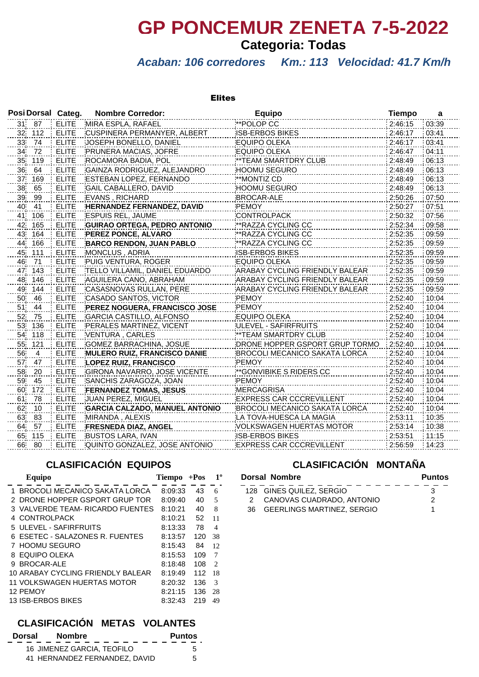# **GP PONCEMUR ZENETA 7-5-2022**

## **Categoria: Todas**

## *Acaban: 106 corredores Km.: 113 Velocidad: 41.7 Km/h*

#### Elites

|                 |                | Posi Dorsal Categ. | <b>Nombre Corredor:</b>               | <b>Equipo</b>                   | <b>Tiempo</b> | a     |
|-----------------|----------------|--------------------|---------------------------------------|---------------------------------|---------------|-------|
|                 | 31 87          | <b>ELITE</b>       | MIRA ESPLA, RAFAEL                    | **POLOP CC                      | 2:46:15       | 03:39 |
| 32              | 112            | <b>ELITE</b>       | CUSPINERA PERMANYER, ALBERT           | <b>ISB-ERBOS BIKES</b>          | 2:46:17       | 03:41 |
| 33              | 74             | <b>ELITE</b>       | JOSEPH BONELLO, DANIEL                | <b>EQUIPO OLEKA</b>             | 2:46:17       | 03:41 |
| 34              | 72             | <b>ELITE</b>       | PRUNERA MACIAS, JOFRE                 | <b>EQUIPO OLEKA</b>             | 2:46:47       | 04:11 |
| 35 <sub>1</sub> | 119            | <b>ELITE</b>       | ROCAMORA BADIA, POL                   | ** TEAM SMARTDRY CLUB           | 2:48:49       | 06:13 |
| 36              | 64             | <b>ELITE</b>       | GAINZA RODRIGUEZ, ALEJANDRO           | <b>HOOMU SEGURO</b>             | 2:48:49       | 06:13 |
| 37              | 169            | <b>ELITE</b>       | ESTEBAN LOPEZ, FERNANDO               | **MONTIZ CD                     | 2:48:49       | 06:13 |
| 38              | 65             | <b>ELITE</b>       | GAIL CABALLERO, DAVID                 | HOOMU SEGURO                    | 2:48:49       | 06:13 |
| 39              | 99             | <b>ELITE</b>       | <b>EVANS, RICHARD</b>                 | <b>BROCAR-ALE</b>               | 2:50:26       | 07:50 |
| 40              | 41             | <b>ELITE</b>       | <b>HERNANDEZ FERNANDEZ, DAVID</b>     | <b>PEMOY</b>                    | 2:50:27       | 07:51 |
| 41'             | 106            | <b>ELITE</b>       | <b>ESPUIS REL, JAUME</b>              | <b>CONTROLPACK</b>              | 2:50:32       | 07:56 |
| 42              | 165            | <b>ELITE</b>       | <b>GUIRAO ORTEGA, PEDRO ANTONIO</b>   | ** RAZZA CYCLING CC             | 2:52:34       | 09:58 |
| 43              | 164            | <b>ELITE</b>       | PEREZ PONCE, ALVARO                   | **RAZZA CYCLING CC              | 2:52:35       | 09:59 |
| 44              | 166            | <b>ELITE</b>       | <b>BARCO RENDON, JUAN PABLO</b>       | **RAZZA CYCLING CC              | 2:52:35       | 09:59 |
| 45              | 111            | <b>ELITE</b>       | MONCLUS, ADRIA                        | <b>ISB-ERBOS BIKES</b>          | 2:52:35       | 09:59 |
| 46.             | 71             | <b>ELITE</b>       | PUIG VENTURA, ROGER                   | <b>EQUIPO OLEKA</b>             | 2:52:35       | 09:59 |
| 47              | 143            | <b>ELITE</b>       | TELLO VILLAMIL, DANIEL EDUARDO        | ARABAY CYCLING FRIENDLY BALEAR  | 2:52:35       | 09:59 |
| 48              | 146            | <b>ELITE</b>       | AGUILERA CANO, ABRAHAM                | ARABAY CYCLING FRIENDLY BALEAR  | 2:52:35       | 09:59 |
| 49              | 144            | <b>ELITE</b>       | CASASNOVAS RULLAN, PERE               | ARABAY CYCLING FRIENDLY BALEAR  | 2:52:35       | 09:59 |
| 50              | 46             | <b>ELITE</b>       | CASADO SANTOS, VICTOR                 | PEMOY                           | 2:52:40       | 10:04 |
| 51              | 44             | <b>ELITE</b>       | PEREZ NOGUERA, FRANCISCO JOSE         | <b>PEMOY</b>                    | 2:52:40       | 10:04 |
| 52              | 75             | <b>ELITE</b>       | <b>GARCIA CASTILLO, ALFONSO</b>       | <b>EQUIPO OLEKA</b>             | 2:52:40       | 10:04 |
| 53              | 136            | <b>ELITE</b>       | PERALES MARTINEZ, VICENT              | ULEVEL - SAFIRFRUITS            | 2:52:40       | 10:04 |
| 54              | 118            | <b>ELITE</b>       | VENTURA, CARLES                       | **TEAM SMARTDRY CLUB            | 2:52:40       | 10:04 |
| 55              | 121            | <b>ELITE</b>       | <b>GOMEZ BARRACHINA, JOSUE</b>        | DRONE HOPPER GSPORT GRUP TORMO  | 2:52:40       | 10:04 |
| 56              | $\overline{4}$ | <b>ELITE</b>       | MULERO RUIZ, FRANCISCO DANIE          | BROCOLI MECANICO SAKATA LORCA   | 2:52:40       | 10:04 |
| 57              | 47             | <b>ELITE</b>       | <b>LOPEZ RUIZ, FRANCISCO</b>          | <b>PEMOY</b>                    | 2:52:40       | 10:04 |
| 58              | 20             | <b>ELITE</b>       | GIRONA NAVARRO, JOSE VICENTE          | **GONVIBIKE S RIDERS CC         | 2:52:40       | 10:04 |
| 59              | 45             | <b>ELITE</b>       | SANCHIS ZARAGOZA, JOAN                | <b>PEMOY</b>                    | 2:52:40       | 10:04 |
| 60              | 172            | <b>ELITE</b>       | <b>FERNANDEZ TOMAS, JESUS</b>         | <b>MERCAGRISA</b>               | 2:52:40       | 10:04 |
| 61              | 78             | <b>ELITE</b>       | JUAN PEREZ, MIGUEL                    | <b>EXPRESS CAR CCCREVILLENT</b> | 2:52:40       | 10:04 |
| 62              | 10             | <b>ELITE</b>       | <b>GARCIA CALZADO, MANUEL ANTONIO</b> | BROCOLI MECANICO SAKATA LORCA   | 2:52:40       | 10:04 |
| 63              | 83             | <b>ELITE</b>       | MIRANDA, ALEXIS                       | LA TOVA-HUESCA LA MAGIA         | 2:53:11       | 10:35 |
| 64              | 57             | <b>ELITE</b>       | <b>FRESNEDA DIAZ, ANGEL</b>           | VOLKSWAGEN HUERTAS MOTOR        | 2:53:14       | 10:38 |
| 65              | 115            | <b>ELITE</b>       | <b>BUSTOS LARA, IVAN</b>              | <b>ISB-ERBOS BIKES</b>          | 2:53:51       | 11:15 |
| 66              | 80             | <b>ELITE</b>       | QUINTO GONZALEZ, JOSE ANTONIO         | <b>EXPRESS CAR CCCREVILLENT</b> | 2:56:59       | 14:23 |

### **CLASIFICACIÓN EQUIPOS**

| Equipo                            | <b>Tiempo</b> | $+$ Pos | $1^{\rm o}$                 |
|-----------------------------------|---------------|---------|-----------------------------|
| 1 BROCOLI MECANICO SAKATA LORCA   | 8:09:33       | 43      | 6                           |
| 2 DRONE HOPPER GSPORT GRUP TOR    | 8:09:40       | 40      | 5                           |
| 3 VALVERDE TEAM- RICARDO FUENTES  | 8:10:21       | 40      | 8                           |
| <b>CONTROLPACK</b><br>4           | 8:10:21       | 52      | 11                          |
| 5 ULEVEL - SAFIRFRUITS            | 8:13:33       | 78      | 4                           |
| 6 ESETEC - SALAZONES R. FUENTES   | 8:13:57       | 120     | 38                          |
| 7 HOOMU SEGURO                    | 8:15:43       | 84      | 12                          |
| EQUIPO OLEKA<br>8                 | 8:15:53       | 109     | 7                           |
| BROCAR-ALE<br>я                   | 8:18:48       | 108     | $\mathcal{D}_{\mathcal{A}}$ |
| 10 ARABAY CYCLING FRIENDLY BALEAR | 8:19:49       | 112     | 18                          |
| 11 VOLKSWAGEN HUERTAS MOTOR       | 8:20:32       | 136     | 3                           |
| 12 PEMOY                          | 8:21:15       | 136     | 28                          |
| 13 ISB-ERBOS BIKES                | 8:32:43       | 219     | 49                          |

### **CLASIFICACIÓN METAS VOLANTES**

| Dorsal | Nombre                        | <b>Puntos</b> |
|--------|-------------------------------|---------------|
|        | 16 JIMENEZ GARCIA, TEOFILO    | 5             |
|        | 41 HERNANDEZ FERNANDEZ, DAVID | 5             |

### **CLASIFICACIÓN MONTAÑA**

| Dorsal Nombre                 |   |  |
|-------------------------------|---|--|
| 128 GINES QUILEZ, SERGIO      | 3 |  |
| 2 CANOVAS CUADRADO, ANTONIO   | 2 |  |
| 36 GEERLINGS MARTINEZ, SERGIO |   |  |
|                               |   |  |